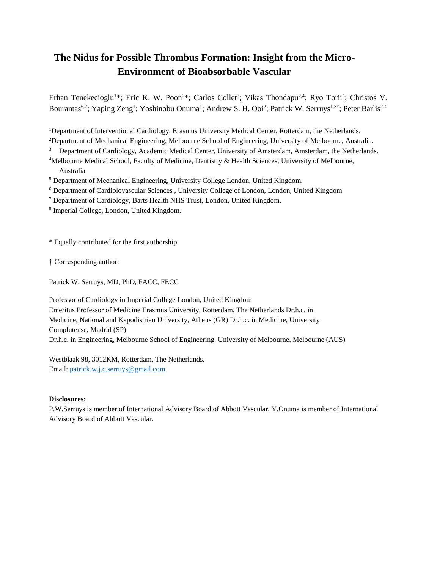## **The Nidus for Possible Thrombus Formation: Insight from the Micro-Environment of Bioabsorbable Vascular**

Erhan Tenekecioglu<sup>1\*</sup>; Eric K. W. Poon<sup>2\*</sup>; Carlos Collet<sup>3</sup>; Vikas Thondapu<sup>24</sup>; Ryo Torii<sup>5</sup>; Christos V. Bourantas<sup>6,7</sup>; Yaping Zeng<sup>1</sup>; Yoshinobu Onuma<sup>1</sup>; Andrew S. H. Ooi<sup>2</sup>; Patrick W. Serruys<sup>1,8†</sup>; Peter Barlis<sup>2,4</sup>

<sup>1</sup>Department of Interventional Cardiology, Erasmus University Medical Center, Rotterdam, the Netherlands.

<sup>2</sup>Department of Mechanical Engineering, Melbourne School of Engineering, University of Melbourne, Australia.

<sup>3</sup> Department of Cardiology, Academic Medical Center, University of Amsterdam, Amsterdam, the Netherlands.

<sup>4</sup>Melbourne Medical School, Faculty of Medicine, Dentistry & Health Sciences, University of Melbourne, Australia

<sup>5</sup> Department of Mechanical Engineering, University College London, United Kingdom.

<sup>6</sup> Department of Cardiolovascular Sciences , University College of London, London, United Kingdom

<sup>7</sup> Department of Cardiology, Barts Health NHS Trust, London, United Kingdom.

8 Imperial College, London, United Kingdom.

\* Equally contributed for the first authorship

† Corresponding author:

Patrick W. Serruys, MD, PhD, FACC, FECC

Professor of Cardiology in Imperial College London, United Kingdom

Emeritus Professor of Medicine Erasmus University, Rotterdam, The Netherlands Dr.h.c. in

Medicine, National and Kapodistrian University, Athens (GR) Dr.h.c. in Medicine, University Complutense, Madrid (SP)

Dr.h.c. in Engineering, Melbourne School of Engineering, University of Melbourne, Melbourne (AUS)

Westblaak 98, 3012KM, Rotterdam, The Netherlands. Email: [patrick.w.j.c.serruys@gmail.com](mailto:patrick.w.j.c.serruys@gmail.com)

## **Disclosures:**

P.W.Serruys is member of International Advisory Board of Abbott Vascular. Y.Onuma is member of International Advisory Board of Abbott Vascular.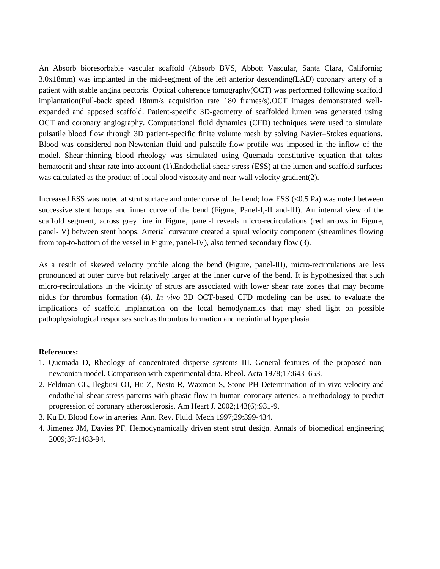An Absorb bioresorbable vascular scaffold (Absorb BVS, Abbott Vascular, Santa Clara, California; 3.0x18mm) was implanted in the mid-segment of the left anterior descending(LAD) coronary artery of a patient with stable angina pectoris. Optical coherence tomography(OCT) was performed following scaffold implantation(Pull-back speed 18mm/s acquisition rate 180 frames/s).OCT images demonstrated wellexpanded and apposed scaffold. Patient-specific 3D-geometry of scaffolded lumen was generated using OCT and coronary angiography. Computational fluid dynamics (CFD) techniques were used to simulate pulsatile blood flow through 3D patient-specific finite volume mesh by solving Navier–Stokes equations. Blood was considered non-Newtonian fluid and pulsatile flow profile was imposed in the inflow of the model. Shear-thinning blood rheology was simulated using Quemada constitutive equation that takes hematocrit and shear rate into account (1).Endothelial shear stress (ESS) at the lumen and scaffold surfaces was calculated as the product of local blood viscosity and near-wall velocity gradient(2).

Increased ESS was noted at strut surface and outer curve of the bend; low ESS (<0.5 Pa) was noted between successive stent hoops and inner curve of the bend (Figure, Panel-I,-II and-III). An internal view of the scaffold segment, across grey line in Figure, panel-I reveals micro-recirculations (red arrows in Figure, panel-IV) between stent hoops. Arterial curvature created a spiral velocity component (streamlines flowing from top-to-bottom of the vessel in Figure, panel-IV), also termed secondary flow (3).

As a result of skewed velocity profile along the bend (Figure, panel-III), micro-recirculations are less pronounced at outer curve but relatively larger at the inner curve of the bend. It is hypothesized that such micro-recirculations in the vicinity of struts are associated with lower shear rate zones that may become nidus for thrombus formation (4). *In vivo* 3D OCT-based CFD modeling can be used to evaluate the implications of scaffold implantation on the local hemodynamics that may shed light on possible pathophysiological responses such as thrombus formation and neointimal hyperplasia.

## **References:**

- 1. Quemada D, Rheology of concentrated disperse systems III. General features of the proposed nonnewtonian model. Comparison with experimental data. Rheol. Acta 1978;17:643–653.
- 2. Feldman CL, Ilegbusi OJ, Hu Z, Nesto R, Waxman S, Stone PH Determination of in vivo velocity and endothelial shear stress patterns with phasic flow in human coronary arteries: a methodology to predict progression of coronary atherosclerosis. Am Heart J. 2002;143(6):931-9.
- 3. Ku D. Blood flow in arteries. Ann. Rev. Fluid. Mech 1997;29:399-434.
- 4. Jimenez JM, Davies PF. Hemodynamically driven stent strut design. Annals of biomedical engineering 2009;37:1483-94.